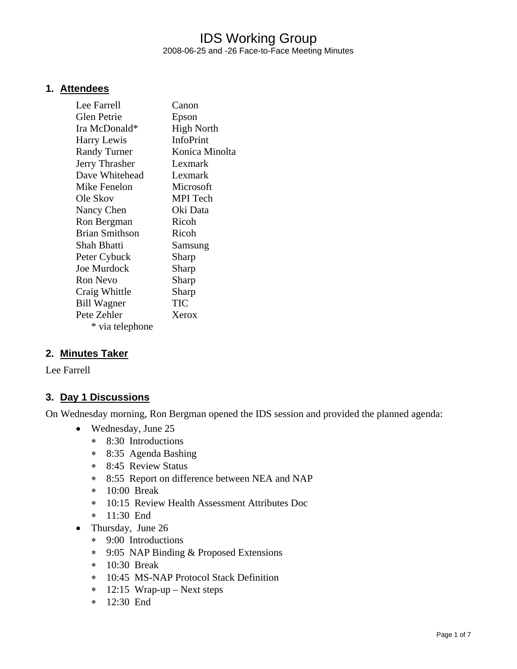### IDS Working Group 2008-06-25 and -26 Face-to-Face Meeting Minutes

### **1. Attendees**

| Lee Farrell           | Canon             |
|-----------------------|-------------------|
| Glen Petrie           | Epson             |
| Ira McDonald*         | <b>High North</b> |
| Harry Lewis           | InfoPrint         |
| <b>Randy Turner</b>   | Konica Minolta    |
| Jerry Thrasher        | Lexmark           |
| Dave Whitehead        | Lexmark           |
| Mike Fenelon          | Microsoft         |
| Ole Skov              | <b>MPI</b> Tech   |
| Nancy Chen            | Oki Data          |
| Ron Bergman           | Ricoh             |
| <b>Brian Smithson</b> | Ricoh             |
| Shah Bhatti           | Samsung           |
| Peter Cybuck          | Sharp             |
| <b>Joe Murdock</b>    | Sharp             |
| <b>Ron Nevo</b>       | Sharp             |
| Craig Whittle         | Sharp             |
| <b>Bill Wagner</b>    | TIC               |
| Pete Zehler           | Xerox             |
| * via telephone       |                   |

### **2. Minutes Taker**

Lee Farrell

### **3. Day 1 Discussions**

On Wednesday morning, Ron Bergman opened the IDS session and provided the planned agenda:

- Wednesday, June 25
	- ∗ 8:30 Introductions
	- ∗ 8:35 Agenda Bashing
	- ∗ 8:45 Review Status
	- ∗ 8:55 Report on difference between NEA and NAP
	- ∗ 10:00 Break
	- ∗ 10:15 Review Health Assessment Attributes Doc
	- ∗ 11:30 End
- Thursday, June 26
	- ∗ 9:00 Introductions
	- ∗ 9:05 NAP Binding & Proposed Extensions
	- ∗ 10:30 Break
	- ∗ 10:45 MS-NAP Protocol Stack Definition
	- ∗ 12:15 Wrap-up Next steps
	- ∗ 12:30 End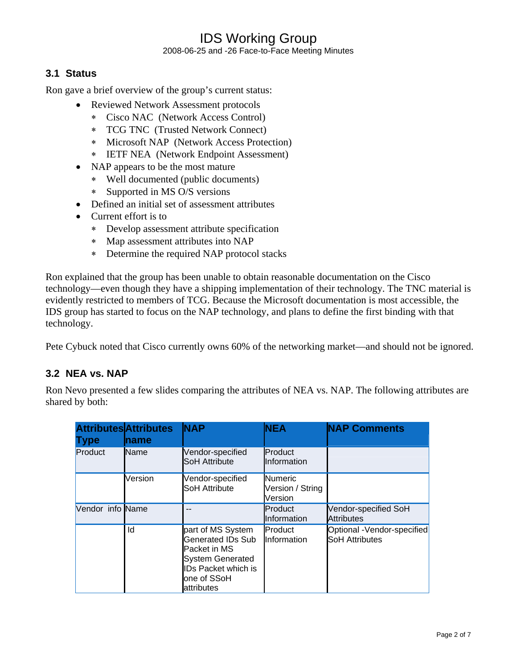## IDS Working Group 2008-06-25 and -26 Face-to-Face Meeting Minutes

### **3.1 Status**

Ron gave a brief overview of the group's current status:

- Reviewed Network Assessment protocols
	- ∗ Cisco NAC (Network Access Control)
	- ∗ TCG TNC (Trusted Network Connect)
	- ∗ Microsoft NAP (Network Access Protection)
	- ∗ IETF NEA (Network Endpoint Assessment)
- NAP appears to be the most mature
	- ∗ Well documented (public documents)
	- ∗ Supported in MS O/S versions
- Defined an initial set of assessment attributes
- Current effort is to
	- ∗ Develop assessment attribute specification
	- ∗ Map assessment attributes into NAP
	- ∗ Determine the required NAP protocol stacks

Ron explained that the group has been unable to obtain reasonable documentation on the Cisco technology—even though they have a shipping implementation of their technology. The TNC material is evidently restricted to members of TCG. Because the Microsoft documentation is most accessible, the IDS group has started to focus on the NAP technology, and plans to define the first binding with that technology.

Pete Cybuck noted that Cisco currently owns 60% of the networking market—and should not be ignored.

### **3.2 NEA vs. NAP**

Ron Nevo presented a few slides comparing the attributes of NEA vs. NAP. The following attributes are shared by both:

| Type             | <b>Attributes</b><br><b>Attributes</b><br>name | <b>NAP</b>                                                                                                                                          | <b>NEA</b>                                    | <b>NAP Comments</b>                                 |
|------------------|------------------------------------------------|-----------------------------------------------------------------------------------------------------------------------------------------------------|-----------------------------------------------|-----------------------------------------------------|
| Product          | <b>Name</b>                                    | Vendor-specified<br><b>SoH Attribute</b>                                                                                                            | Product<br>Information                        |                                                     |
|                  | Version                                        | Vendor-specified<br><b>SoH Attribute</b>                                                                                                            | <b>Numeric</b><br>Version / String<br>Version |                                                     |
| Vendor info Name |                                                |                                                                                                                                                     | Product<br>Information                        | Vendor-specified SoH<br><b>Attributes</b>           |
|                  | ld                                             | part of MS System<br>Generated IDs Sub<br>Packet in MS<br><b>System Generated</b><br><b>IDs Packet which is</b><br>one of SSoH<br><b>attributes</b> | Product<br>Information                        | Optional -Vendor-specified<br><b>SoH Attributes</b> |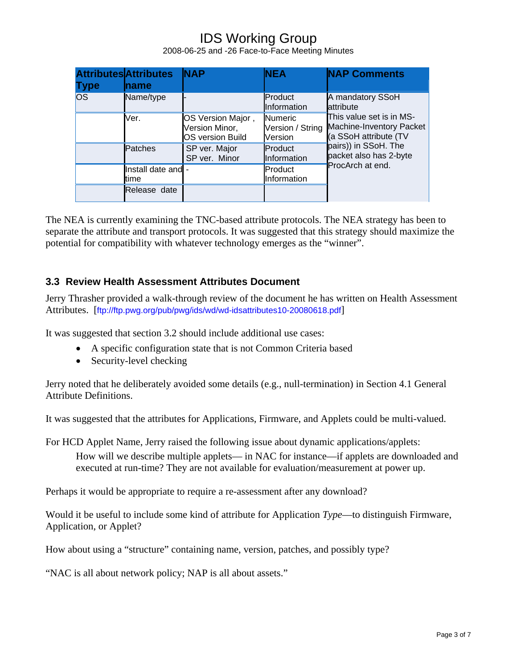2008-06-25 and -26 Face-to-Face Meeting Minutes

|           | <b>Attributes</b> Attributes | <b>NAP</b>                                                     | <b>NEA</b>                                    | <b>NAP Comments</b>                                                                                                                                                                   |
|-----------|------------------------------|----------------------------------------------------------------|-----------------------------------------------|---------------------------------------------------------------------------------------------------------------------------------------------------------------------------------------|
| Type      | <b>Iname</b>                 |                                                                |                                               |                                                                                                                                                                                       |
| <b>OS</b> | Name/type                    |                                                                | Product<br>Information                        | A mandatory SSoH<br>lattribute<br>This value set is in MS-<br>Machine-Inventory Packet<br>(a SSoH attribute (TV<br>pairs)) in SSoH. The<br>packet also has 2-byte<br>ProcArch at end. |
|           | Ver.                         | OS Version Major,<br>Version Minor,<br><b>OS version Build</b> | <b>Numeric</b><br>Version / String<br>Version |                                                                                                                                                                                       |
|           | Patches                      | SP ver. Major<br>SP ver. Minor                                 | Product<br>Information                        |                                                                                                                                                                                       |
|           | Install date and -<br>time   |                                                                | Product<br>Information                        |                                                                                                                                                                                       |
|           | Release date                 |                                                                |                                               |                                                                                                                                                                                       |

The NEA is currently examining the TNC-based attribute protocols. The NEA strategy has been to separate the attribute and transport protocols. It was suggested that this strategy should maximize the potential for compatibility with whatever technology emerges as the "winner".

### **3.3 Review Health Assessment Attributes Document**

Jerry Thrasher provided a walk-through review of the document he has written on Health Assessment Attributes. [ftp://ftp.pwg.org/pub/pwg/ids/wd/wd-idsattributes10-20080618.pdf]

It was suggested that section 3.2 should include additional use cases:

- A specific configuration state that is not Common Criteria based
- Security-level checking

Jerry noted that he deliberately avoided some details (e.g., null-termination) in Section 4.1 General Attribute Definitions.

It was suggested that the attributes for Applications, Firmware, and Applets could be multi-valued.

For HCD Applet Name, Jerry raised the following issue about dynamic applications/applets:

How will we describe multiple applets— in NAC for instance—if applets are downloaded and executed at run-time? They are not available for evaluation/measurement at power up.

Perhaps it would be appropriate to require a re-assessment after any download?

Would it be useful to include some kind of attribute for Application *Type*—to distinguish Firmware, Application, or Applet?

How about using a "structure" containing name, version, patches, and possibly type?

"NAC is all about network policy; NAP is all about assets."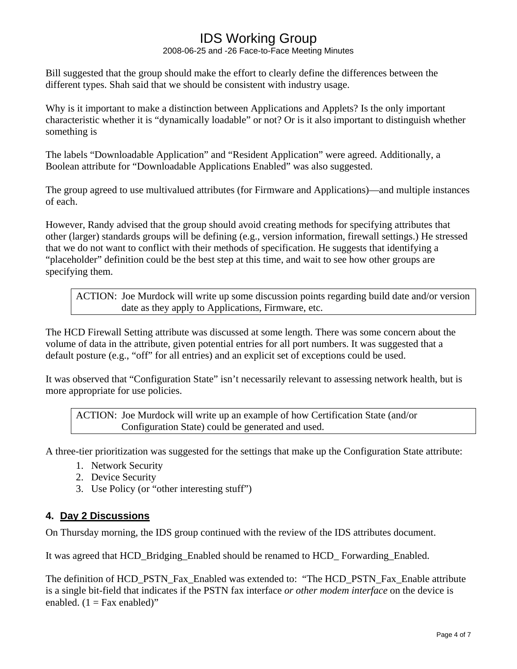2008-06-25 and -26 Face-to-Face Meeting Minutes

Bill suggested that the group should make the effort to clearly define the differences between the different types. Shah said that we should be consistent with industry usage.

Why is it important to make a distinction between Applications and Applets? Is the only important characteristic whether it is "dynamically loadable" or not? Or is it also important to distinguish whether something is

The labels "Downloadable Application" and "Resident Application" were agreed. Additionally, a Boolean attribute for "Downloadable Applications Enabled" was also suggested.

The group agreed to use multivalued attributes (for Firmware and Applications)—and multiple instances of each.

However, Randy advised that the group should avoid creating methods for specifying attributes that other (larger) standards groups will be defining (e.g., version information, firewall settings.) He stressed that we do not want to conflict with their methods of specification. He suggests that identifying a "placeholder" definition could be the best step at this time, and wait to see how other groups are specifying them.

ACTION: Joe Murdock will write up some discussion points regarding build date and/or version date as they apply to Applications, Firmware, etc.

The HCD Firewall Setting attribute was discussed at some length. There was some concern about the volume of data in the attribute, given potential entries for all port numbers. It was suggested that a default posture (e.g., "off" for all entries) and an explicit set of exceptions could be used.

It was observed that "Configuration State" isn't necessarily relevant to assessing network health, but is more appropriate for use policies.

ACTION: Joe Murdock will write up an example of how Certification State (and/or Configuration State) could be generated and used.

A three-tier prioritization was suggested for the settings that make up the Configuration State attribute:

- 1. Network Security
- 2. Device Security
- 3. Use Policy (or "other interesting stuff")

### **4. Day 2 Discussions**

On Thursday morning, the IDS group continued with the review of the IDS attributes document.

It was agreed that HCD\_Bridging\_Enabled should be renamed to HCD\_ Forwarding\_Enabled.

The definition of HCD\_PSTN\_Fax\_Enabled was extended to: "The HCD\_PSTN\_Fax\_Enable attribute is a single bit-field that indicates if the PSTN fax interface *or other modem interface* on the device is enabled.  $(1 = \text{Fax enabled})$ "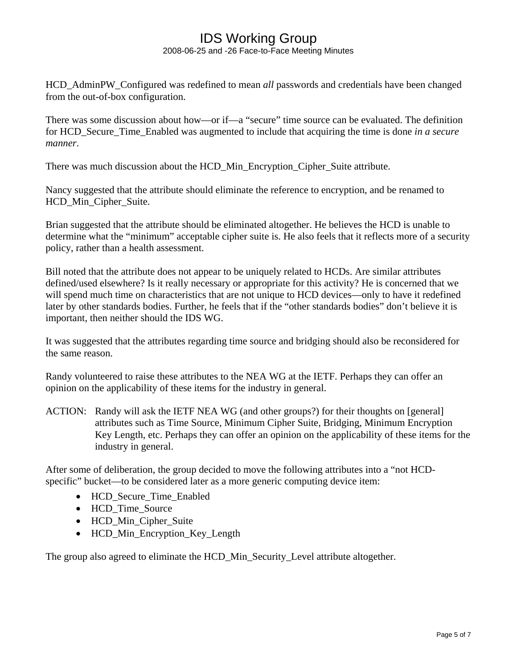2008-06-25 and -26 Face-to-Face Meeting Minutes

HCD\_AdminPW\_Configured was redefined to mean *all* passwords and credentials have been changed from the out-of-box configuration.

There was some discussion about how—or if—a "secure" time source can be evaluated. The definition for HCD\_Secure\_Time\_Enabled was augmented to include that acquiring the time is done *in a secure manner*.

There was much discussion about the HCD\_Min\_Encryption\_Cipher\_Suite attribute.

Nancy suggested that the attribute should eliminate the reference to encryption, and be renamed to HCD Min Cipher Suite.

Brian suggested that the attribute should be eliminated altogether. He believes the HCD is unable to determine what the "minimum" acceptable cipher suite is. He also feels that it reflects more of a security policy, rather than a health assessment.

Bill noted that the attribute does not appear to be uniquely related to HCDs. Are similar attributes defined/used elsewhere? Is it really necessary or appropriate for this activity? He is concerned that we will spend much time on characteristics that are not unique to HCD devices—only to have it redefined later by other standards bodies. Further, he feels that if the "other standards bodies" don't believe it is important, then neither should the IDS WG.

It was suggested that the attributes regarding time source and bridging should also be reconsidered for the same reason.

Randy volunteered to raise these attributes to the NEA WG at the IETF. Perhaps they can offer an opinion on the applicability of these items for the industry in general.

ACTION: Randy will ask the IETF NEA WG (and other groups?) for their thoughts on [general] attributes such as Time Source, Minimum Cipher Suite, Bridging, Minimum Encryption Key Length, etc. Perhaps they can offer an opinion on the applicability of these items for the industry in general.

After some of deliberation, the group decided to move the following attributes into a "not HCDspecific" bucket—to be considered later as a more generic computing device item:

- HCD\_Secure\_Time\_Enabled
- HCD Time Source
- HCD\_Min\_Cipher\_Suite
- HCD\_Min\_Encryption\_Key\_Length

The group also agreed to eliminate the HCD\_Min\_Security\_Level attribute altogether.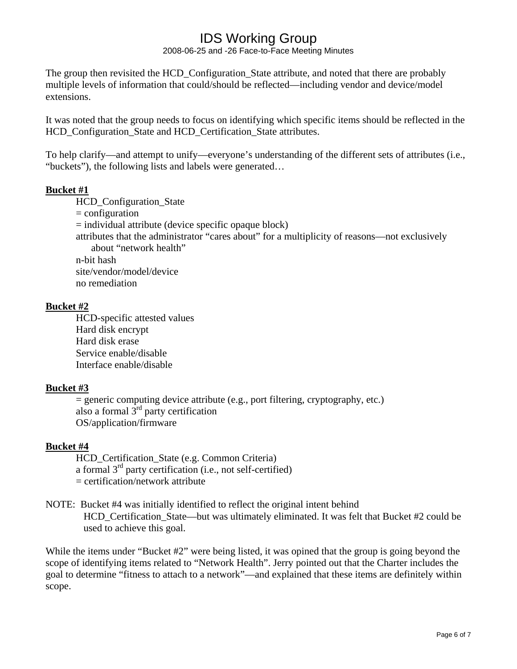2008-06-25 and -26 Face-to-Face Meeting Minutes

The group then revisited the HCD Configuration State attribute, and noted that there are probably multiple levels of information that could/should be reflected—including vendor and device/model extensions.

It was noted that the group needs to focus on identifying which specific items should be reflected in the HCD Configuration State and HCD Certification State attributes.

To help clarify—and attempt to unify—everyone's understanding of the different sets of attributes (i.e., "buckets"), the following lists and labels were generated…

### **Bucket #1**

HCD Configuration State

 $=$  configuration

 $=$  individual attribute (device specific opaque block)

attributes that the administrator "cares about" for a multiplicity of reasons—not exclusively about "network health"

n-bit hash

site/vendor/model/device

no remediation

### **Bucket #2**

HCD-specific attested values Hard disk encrypt Hard disk erase Service enable/disable Interface enable/disable

### **Bucket #3**

 $=$  generic computing device attribute (e.g., port filtering, cryptography, etc.) also a formal  $3<sup>rd</sup>$  party certification OS/application/firmware

### **Bucket #4**

HCD\_Certification\_State (e.g. Common Criteria) a formal 3rd party certification (i.e., not self-certified) = certification/network attribute

#### NOTE: Bucket #4 was initially identified to reflect the original intent behind HCD Certification State—but was ultimately eliminated. It was felt that Bucket #2 could be used to achieve this goal.

While the items under "Bucket #2" were being listed, it was opined that the group is going beyond the scope of identifying items related to "Network Health". Jerry pointed out that the Charter includes the goal to determine "fitness to attach to a network"—and explained that these items are definitely within scope.